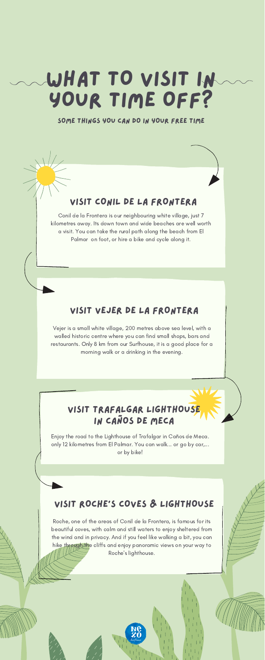Roche, one of the areas of Conil de la Frontera, is famous for its beautiful coves, with calm and still waters to enjoy sheltered from the wind and in privacy. And if you feel like walking a bit, you can hike through the cliffs and enjoy panoramic views on your way to Roche's lighthouse.

# WHAT TO VISIT IN YOUR TIME OFF?

#### SOME THINGS YOU CAN DO IN YOUR FREE TIME

Enjoy the road to the Lighthouse of Trafalgar in Caños de Meca. only 12 kilometres from El Palmar. You can walk... or go by car,... or by bike!

### VISIT TRAFALGAR LIGHTHOUSE IN CAÑOS DE MECA

Conil de la Frontera is our neighbouring white village, just 7 kilometres away. Its down town and wide beaches are well worth a visit. You can take the rural path along the beach from El Palmar on foot, or hire a bike and cycle along it.

#### VISIT CONIL DE LA FRONTERA

Vejer is a small white village, 200 metres above sea level, with a walled historic centre where you can find small shops, bars and restaurants. Only 8 km from our Surfhouse, it is a good place for a morning walk or a drinking in the evening.

#### VISIT VEJER DE LA FRONTERA

#### VISIT ROCHE'S COVES & LIGHTHOUSE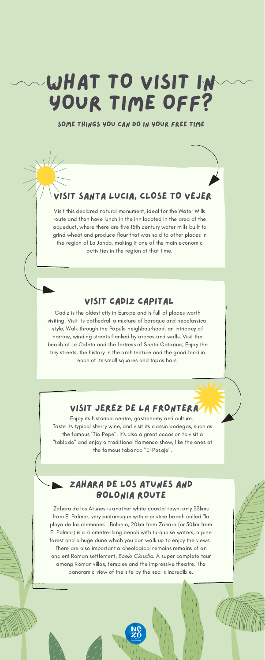SOME THINGS YOU CAN DO IN YOUR FREE TIME

#### T SANTA LUCIA, CLOSE TO VEJER

# WHAT TO VISIT IN YOUR TIME OFF?

Cadiz is the oldest city in Europe and is full of places worth visiting. Visit its cathedral, a mixture of baroque and neoclassical style; Walk through the Pópulo neighbourhood, an intricacy of narrow, winding streets flanked by arches and walls; Visit the beach of La Caleta and the fortress of Santa Catarina; Enjoy the tiny streets, the history in the architecture and the good food in each of its small squares and tapas bars.

#### VISIT CADIZ CAPITAL

Zahara de los Atunes is another white coastal town, only 33kms from El Palmar, very picturesque with a pristine beach called "la playa de los alemanes". Bolonia, 20km from Zahara (or 50km from El Palmar) is a kilometre-long beach with turquoise waters, a pine forest and a huge dune which you can walk up to enjoy the views. There are also important archeological remains remains of an ancient Roman settlement, Baelo Claudia. A super complete tour among Roman villas, temples and the impressive theatre. The panoramic view of the site by the sea is incredible.

#### ZAHARA DE LOS ATUNES AND BOLONIA ROUTE

Enjoy its historical centre, gastronomy and culture. Taste its typical sherry wine, and visit its classic bodegas, such as the famous "Tio Pepe". It's also a great occasion to visit a "tablado" and enjoy a traditional flamenco show, like the ones at the famous tabanco "El Pasaje".

#### VISIT JEREZ DE LA FRONTERA

Visit this declared natural monument, ideal for the Water Mills route and then have lunch in the inn located in the area of the aqueduct, where there are five 15th century water mills built to grind wheat and produce flour that was sold to other places in the region of La Janda, making it one of the main economic activities in the region at that time.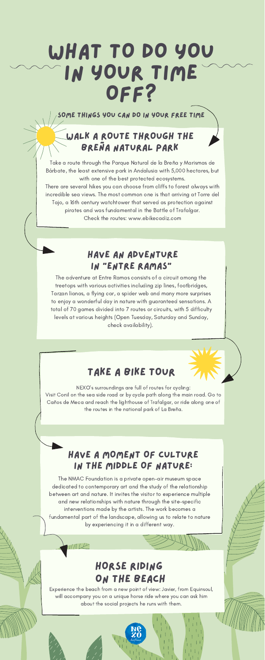SOME THINGS YOU CAN DO IN YOUR FREE TIME

## WHAT TO DO YOU IN YOUR TIME OFF?

The adventure at Entre Ramas consists of a circuit among the treetops with various activities including zip lines, footbridges, Tarzan lianas, a flying car, a spider web and many more surprises to enjoy a wonderful day in nature with guaranteed sensations. A total of 70 games divided into 7 routes or circuits, with 5 difficulty levels at various heights (Open Tuesday, Saturday and Sunday, check availability).

#### HAVE AN ADVENTURE IN "ENTRE RAMAS"

### HORSE RIDING ON THE BEACH

 $1/7/12$ 

Experience the beach from a new point of view: Javier, from Equinsoul, will accompany you on a unique horse ride where you can ask him about the social projects he runs with them.

The NMAC Foundation is a private open-air museum space dedicated to contemporary art and the study of the relationship between art and nature. It invites the visitor to experience multiple and new relationships with nature through the site-specific interventions made by the artists. The work becomes a fundamental part of the landscape, allowing us to relate to nature by experiencing it in a different way.

#### HAVE A MOMENT OF CULTURE IN THE MIDDLE OF NATURE:

Take a route through the Parque Natural de la Breña y Marismas de Bárbate, the least extensive park in Andalusia with 5,000 hectares, but with one of the best protected ecosystems.

There are several hikes you can choose from cliffs to forest always with incredible sea views. The most common one is that arriving at Torre del Tajo, a 16th century watchtower that served as protection against pirates and was fundamental in the Battle of Trafalgar. Check the routes: www.ebikecadiz.com

### WALK A ROUTE THROUGH THE BREÑA NATURAL PARK

### TAKE A BIKE TOUR

NEXO's surroundings are full of routes for cycling: Visit Conil on the sea side road or by cycle path along the main road. Go to Caños de Meca and reach the lighthouse of Trafalgar, or ride along one of the routes in the national park of La Breña.